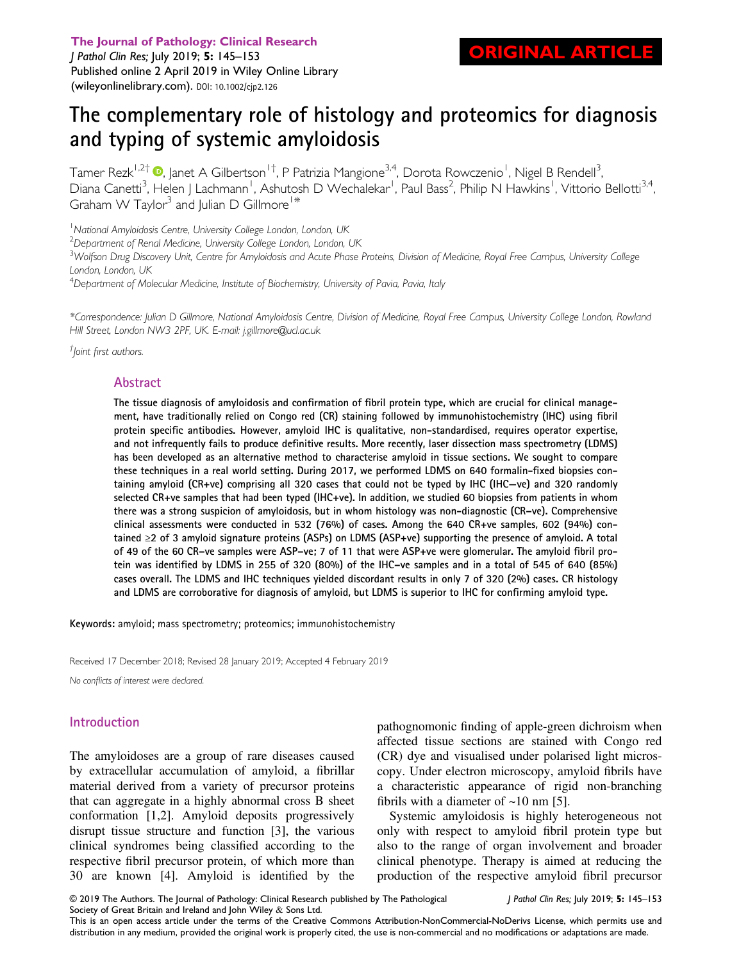The Journal of Pathology: Clinical Research

RIGINAL ARTICLE

J Pathol Clin Res; July 2019; 5: 145–153 Published online 2 April 2019 in Wiley Online Library ([wileyonlinelibrary.com\)](http://wileyonlinelibrary.com). DOI: 10.1002/cjp2.126

# The complementary role of histology and proteomics for diagnosis and typing of systemic amyloidosis

Tamer Rezk<sup>1[,](https://orcid.org/0000-0002-1219-1110)2†</sup> ®, Janet A Gilbertson<sup>1†</sup>, P Patrizia Mangione<sup>3,4</sup>, Dorota Rowczenio<sup>1</sup>, Nigel B Rendell<sup>3</sup> , Diana Canetti<sup>3</sup>, Helen J Lachmann<sup>1</sup>, Ashutosh D Wechalekar<sup>1</sup>, Paul Bass<sup>2</sup>, Philip N Hawkins<sup>1</sup>, Vittorio Bellotti<sup>3,4</sup>, Graham W Taylor<sup>3</sup> and Julian D Gillmore<sup>1\*</sup>

<sup>1</sup>National Amyloidosis Centre, University College London, London, UK

 $^2$ Department of Renal Medicine, University College London, London, UK

 $^3$ Wolfson Drug Discovery Unit, Centre for Amyloidosis and Acute Phase Proteins, Division of Medicine, Royal Free Campus, University College London, London, UK

<sup>4</sup>Department of Molecular Medicine, Institute of Biochemistry, University of Pavia, Pavia, Italy

\*Correspondence: Julian D Gillmore, National Amyloidosis Centre, Division of Medicine, Royal Free Campus, University College London, Rowland Hill Street, London NW3 2PF, UK. E-mail: [j.gillmore@ucl.ac.uk](mailto:j.gillmore@ucl.ac.uk)

† Joint first authors.

## Abstract

The tissue diagnosis of amyloidosis and confirmation of fibril protein type, which are crucial for clinical management, have traditionally relied on Congo red (CR) staining followed by immunohistochemistry (IHC) using fibril protein specific antibodies. However, amyloid IHC is qualitative, non-standardised, requires operator expertise, and not infrequently fails to produce definitive results. More recently, laser dissection mass spectrometry (LDMS) has been developed as an alternative method to characterise amyloid in tissue sections. We sought to compare these techniques in a real world setting. During 2017, we performed LDMS on 640 formalin-fixed biopsies containing amyloid (CR+ve) comprising all 320 cases that could not be typed by IHC (IHC−ve) and 320 randomly selected CR+ve samples that had been typed (IHC+ve). In addition, we studied 60 biopsies from patients in whom there was a strong suspicion of amyloidosis, but in whom histology was non-diagnostic (CR–ve). Comprehensive clinical assessments were conducted in 532 (76%) of cases. Among the 640 CR+ve samples, 602 (94%) contained ≥2 of 3 amyloid signature proteins (ASPs) on LDMS (ASP+ve) supporting the presence of amyloid. A total of 49 of the 60 CR–ve samples were ASP–ve; 7 of 11 that were ASP+ve were glomerular. The amyloid fibril protein was identified by LDMS in 255 of 320 (80%) of the IHC–ve samples and in a total of 545 of 640 (85%) cases overall. The LDMS and IHC techniques yielded discordant results in only 7 of 320 (2%) cases. CR histology and LDMS are corroborative for diagnosis of amyloid, but LDMS is superior to IHC for confirming amyloid type.

Keywords: amyloid; mass spectrometry; proteomics; immunohistochemistry

Received 17 December 2018; Revised 28 January 2019; Accepted 4 February 2019

No conflicts of interest were declared.

# Introduction

The amyloidoses are a group of rare diseases caused by extracellular accumulation of amyloid, a fibrillar material derived from a variety of precursor proteins that can aggregate in a highly abnormal cross B sheet conformation [1,2]. Amyloid deposits progressively disrupt tissue structure and function [3], the various clinical syndromes being classified according to the respective fibril precursor protein, of which more than 30 are known [4]. Amyloid is identified by the pathognomonic finding of apple-green dichroism when affected tissue sections are stained with Congo red (CR) dye and visualised under polarised light microscopy. Under electron microscopy, amyloid fibrils have a characteristic appearance of rigid non-branching fibrils with a diameter of  $\sim$ 10 nm [5].

Systemic amyloidosis is highly heterogeneous not only with respect to amyloid fibril protein type but also to the range of organ involvement and broader clinical phenotype. Therapy is aimed at reducing the production of the respective amyloid fibril precursor

© 2019 The Authors. The Journal of Pathology: Clinical Research published by The Pathological Society of Great Britain and Ireland and John Wiley & Sons Ltd.

J Pathol Clin Res; July 2019; 5: 145–153

This is an open access article under the terms of the [Creative Commons Attribution-NonCommercial-NoDerivs](http://creativecommons.org/licenses/by-nc-nd/4.0/) License, which permits use and distribution in any medium, provided the original work is properly cited, the use is non-commercial and no modifications or adaptations are made.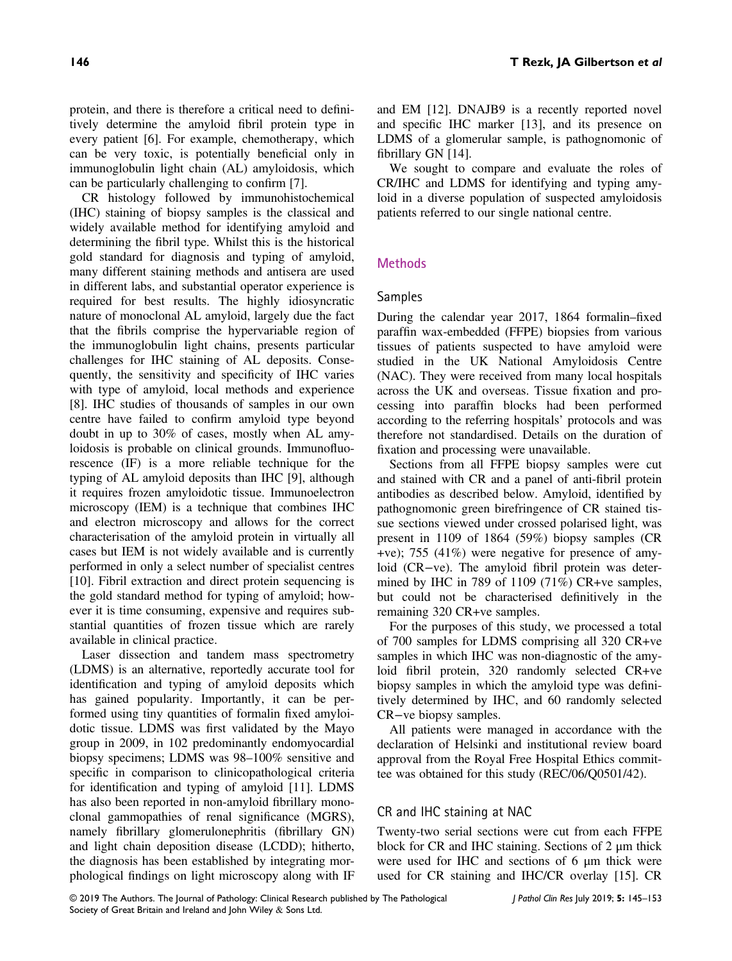protein, and there is therefore a critical need to definitively determine the amyloid fibril protein type in every patient [6]. For example, chemotherapy, which can be very toxic, is potentially beneficial only in immunoglobulin light chain (AL) amyloidosis, which can be particularly challenging to confirm [7].

CR histology followed by immunohistochemical (IHC) staining of biopsy samples is the classical and widely available method for identifying amyloid and determining the fibril type. Whilst this is the historical gold standard for diagnosis and typing of amyloid, many different staining methods and antisera are used in different labs, and substantial operator experience is required for best results. The highly idiosyncratic nature of monoclonal AL amyloid, largely due the fact that the fibrils comprise the hypervariable region of the immunoglobulin light chains, presents particular challenges for IHC staining of AL deposits. Consequently, the sensitivity and specificity of IHC varies with type of amyloid, local methods and experience [8]. IHC studies of thousands of samples in our own centre have failed to confirm amyloid type beyond doubt in up to 30% of cases, mostly when AL amyloidosis is probable on clinical grounds. Immunofluorescence (IF) is a more reliable technique for the typing of AL amyloid deposits than IHC [9], although it requires frozen amyloidotic tissue. Immunoelectron microscopy (IEM) is a technique that combines IHC and electron microscopy and allows for the correct characterisation of the amyloid protein in virtually all cases but IEM is not widely available and is currently performed in only a select number of specialist centres [10]. Fibril extraction and direct protein sequencing is the gold standard method for typing of amyloid; however it is time consuming, expensive and requires substantial quantities of frozen tissue which are rarely available in clinical practice.

Laser dissection and tandem mass spectrometry (LDMS) is an alternative, reportedly accurate tool for identification and typing of amyloid deposits which has gained popularity. Importantly, it can be performed using tiny quantities of formalin fixed amyloidotic tissue. LDMS was first validated by the Mayo group in 2009, in 102 predominantly endomyocardial biopsy specimens; LDMS was 98–100% sensitive and specific in comparison to clinicopathological criteria for identification and typing of amyloid [11]. LDMS has also been reported in non-amyloid fibrillary monoclonal gammopathies of renal significance (MGRS), namely fibrillary glomerulonephritis (fibrillary GN) and light chain deposition disease (LCDD); hitherto, the diagnosis has been established by integrating morphological findings on light microscopy along with IF

and EM [12]. DNAJB9 is a recently reported novel and specific IHC marker [13], and its presence on LDMS of a glomerular sample, is pathognomonic of fibrillary GN [14].

We sought to compare and evaluate the roles of CR/IHC and LDMS for identifying and typing amyloid in a diverse population of suspected amyloidosis patients referred to our single national centre.

## **Methods**

### Samples

During the calendar year 2017, 1864 formalin–fixed paraffin wax-embedded (FFPE) biopsies from various tissues of patients suspected to have amyloid were studied in the UK National Amyloidosis Centre (NAC). They were received from many local hospitals across the UK and overseas. Tissue fixation and processing into paraffin blocks had been performed according to the referring hospitals' protocols and was therefore not standardised. Details on the duration of fixation and processing were unavailable.

Sections from all FFPE biopsy samples were cut and stained with CR and a panel of anti-fibril protein antibodies as described below. Amyloid, identified by pathognomonic green birefringence of CR stained tissue sections viewed under crossed polarised light, was present in 1109 of 1864 (59%) biopsy samples (CR +ve); 755 (41%) were negative for presence of amyloid (CR−ve). The amyloid fibril protein was determined by IHC in 789 of 1109 (71%) CR+ve samples, but could not be characterised definitively in the remaining 320 CR+ve samples.

For the purposes of this study, we processed a total of 700 samples for LDMS comprising all 320 CR+ve samples in which IHC was non-diagnostic of the amyloid fibril protein, 320 randomly selected CR+ve biopsy samples in which the amyloid type was definitively determined by IHC, and 60 randomly selected CR−ve biopsy samples.

All patients were managed in accordance with the declaration of Helsinki and institutional review board approval from the Royal Free Hospital Ethics committee was obtained for this study (REC/06/Q0501/42).

## CR and IHC staining at NAC

Twenty-two serial sections were cut from each FFPE block for CR and IHC staining. Sections of 2 μm thick were used for IHC and sections of 6 μm thick were used for CR staining and IHC/CR overlay [15]. CR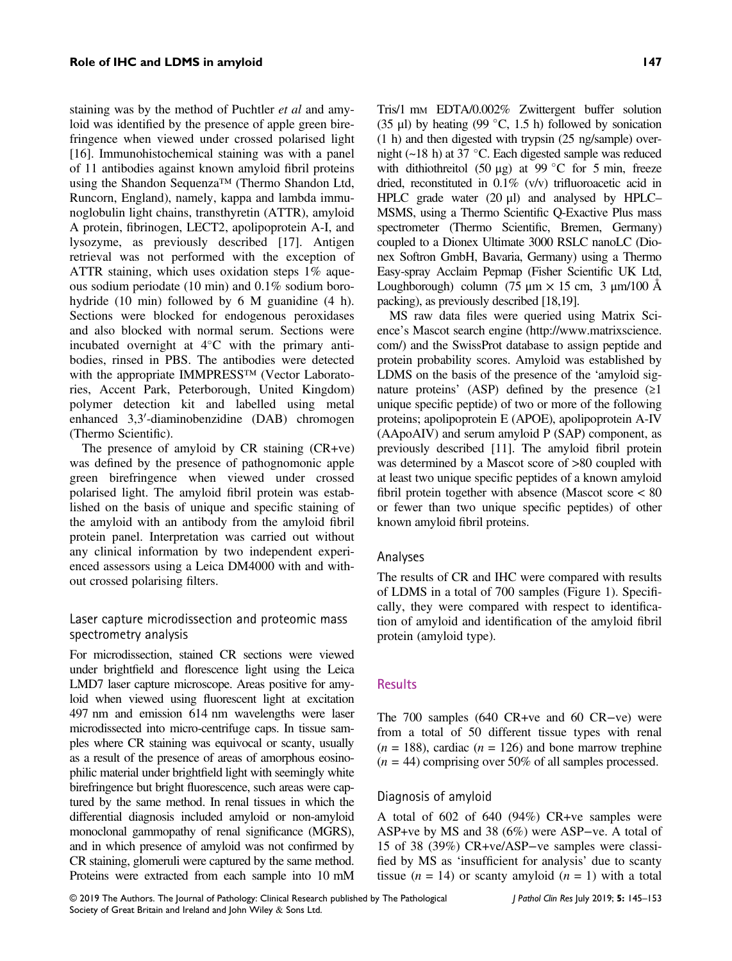staining was by the method of Puchtler et al and amyloid was identified by the presence of apple green birefringence when viewed under crossed polarised light [16]. Immunohistochemical staining was with a panel of 11 antibodies against known amyloid fibril proteins using the Shandon Sequenza™ (Thermo Shandon Ltd, Runcorn, England), namely, kappa and lambda immunoglobulin light chains, transthyretin (ATTR), amyloid A protein, fibrinogen, LECT2, apolipoprotein A-I, and lysozyme, as previously described [17]. Antigen retrieval was not performed with the exception of ATTR staining, which uses oxidation steps 1% aqueous sodium periodate (10 min) and 0.1% sodium borohydride (10 min) followed by 6 M guanidine (4 h). Sections were blocked for endogenous peroxidases and also blocked with normal serum. Sections were incubated overnight at  $4^{\circ}$ C with the primary antibodies, rinsed in PBS. The antibodies were detected with the appropriate IMMPRESS<sup>TM</sup> (Vector Laboratories, Accent Park, Peterborough, United Kingdom) polymer detection kit and labelled using metal enhanced 3,3'-diaminobenzidine (DAB) chromogen (Thermo Scientific).

The presence of amyloid by CR staining (CR+ve) was defined by the presence of pathognomonic apple green birefringence when viewed under crossed polarised light. The amyloid fibril protein was established on the basis of unique and specific staining of the amyloid with an antibody from the amyloid fibril protein panel. Interpretation was carried out without any clinical information by two independent experienced assessors using a Leica DM4000 with and without crossed polarising filters.

# Laser capture microdissection and proteomic mass spectrometry analysis

For microdissection, stained CR sections were viewed under brightfield and florescence light using the Leica LMD7 laser capture microscope. Areas positive for amyloid when viewed using fluorescent light at excitation 497 nm and emission 614 nm wavelengths were laser microdissected into micro-centrifuge caps. In tissue samples where CR staining was equivocal or scanty, usually as a result of the presence of areas of amorphous eosinophilic material under brightfield light with seemingly white birefringence but bright fluorescence, such areas were captured by the same method. In renal tissues in which the differential diagnosis included amyloid or non-amyloid monoclonal gammopathy of renal significance (MGRS), and in which presence of amyloid was not confirmed by CR staining, glomeruli were captured by the same method. Proteins were extracted from each sample into 10 mM

Tris/1 mM EDTA/0.002% Zwittergent buffer solution (35 μl) by heating (99 °C, 1.5 h) followed by sonication (1 h) and then digested with trypsin (25 ng/sample) overnight ( $\sim$ 18 h) at 37 °C. Each digested sample was reduced with dithiothreitol (50 μg) at 99 °C for 5 min, freeze dried, reconstituted in 0.1% (v/v) trifluoroacetic acid in HPLC grade water (20 μl) and analysed by HPLC– MSMS, using a Thermo Scientific Q-Exactive Plus mass spectrometer (Thermo Scientific, Bremen, Germany) coupled to a Dionex Ultimate 3000 RSLC nanoLC (Dionex Softron GmbH, Bavaria, Germany) using a Thermo Easy-spray Acclaim Pepmap (Fisher Scientific UK Ltd, Loughborough) column (75 μm  $\times$  15 cm, 3 μm/100 Å packing), as previously described [18,19].

MS raw data files were queried using Matrix Science's Mascot search engine [\(http://www.matrixscience.](http://www.matrixscience.com/) [com/](http://www.matrixscience.com/)) and the SwissProt database to assign peptide and protein probability scores. Amyloid was established by LDMS on the basis of the presence of the 'amyloid signature proteins' (ASP) defined by the presence  $(\geq 1)$ unique specific peptide) of two or more of the following proteins; apolipoprotein E (APOE), apolipoprotein A-IV (AApoAIV) and serum amyloid P (SAP) component, as previously described [11]. The amyloid fibril protein was determined by a Mascot score of >80 coupled with at least two unique specific peptides of a known amyloid fibril protein together with absence (Mascot score < 80 or fewer than two unique specific peptides) of other known amyloid fibril proteins.

#### Analyses

The results of CR and IHC were compared with results of LDMS in a total of 700 samples (Figure 1). Specifically, they were compared with respect to identification of amyloid and identification of the amyloid fibril protein (amyloid type).

#### **Results**

The 700 samples (640 CR+ve and 60 CR−ve) were from a total of 50 different tissue types with renal  $(n = 188)$ , cardiac  $(n = 126)$  and bone marrow trephine  $(n = 44)$  comprising over 50% of all samples processed.

#### Diagnosis of amyloid

A total of 602 of 640 (94%) CR+ve samples were ASP+ve by MS and 38 (6%) were ASP−ve. A total of 15 of 38 (39%) CR+ve/ASP−ve samples were classified by MS as 'insufficient for analysis' due to scanty tissue ( $n = 14$ ) or scanty amyloid ( $n = 1$ ) with a total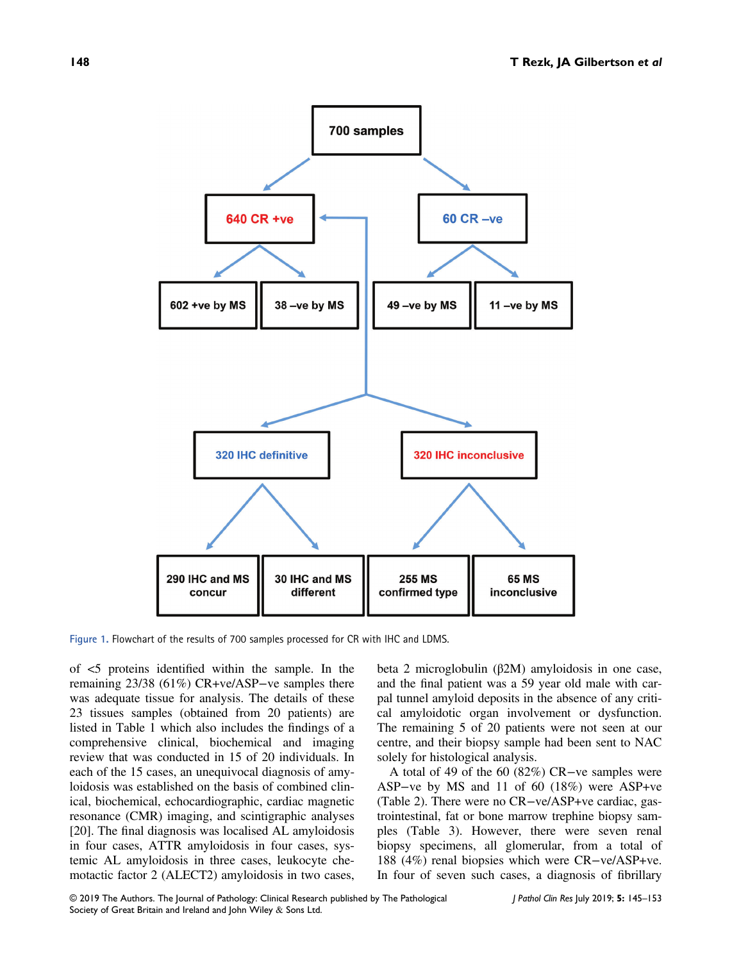

Figure 1. Flowchart of the results of 700 samples processed for CR with IHC and LDMS.

of <5 proteins identified within the sample. In the remaining 23/38 (61%) CR+ve/ASP−ve samples there was adequate tissue for analysis. The details of these 23 tissues samples (obtained from 20 patients) are listed in Table 1 which also includes the findings of a comprehensive clinical, biochemical and imaging review that was conducted in 15 of 20 individuals. In each of the 15 cases, an unequivocal diagnosis of amyloidosis was established on the basis of combined clinical, biochemical, echocardiographic, cardiac magnetic resonance (CMR) imaging, and scintigraphic analyses [20]. The final diagnosis was localised AL amyloidosis in four cases, ATTR amyloidosis in four cases, systemic AL amyloidosis in three cases, leukocyte chemotactic factor 2 (ALECT2) amyloidosis in two cases,

beta 2 microglobulin (β2M) amyloidosis in one case, and the final patient was a 59 year old male with carpal tunnel amyloid deposits in the absence of any critical amyloidotic organ involvement or dysfunction. The remaining 5 of 20 patients were not seen at our centre, and their biopsy sample had been sent to NAC solely for histological analysis.

A total of 49 of the 60 (82%) CR−ve samples were ASP−ve by MS and 11 of 60 (18%) were ASP+ve (Table 2). There were no CR−ve/ASP+ve cardiac, gastrointestinal, fat or bone marrow trephine biopsy samples (Table 3). However, there were seven renal biopsy specimens, all glomerular, from a total of 188 (4%) renal biopsies which were CR−ve/ASP+ve. In four of seven such cases, a diagnosis of fibrillary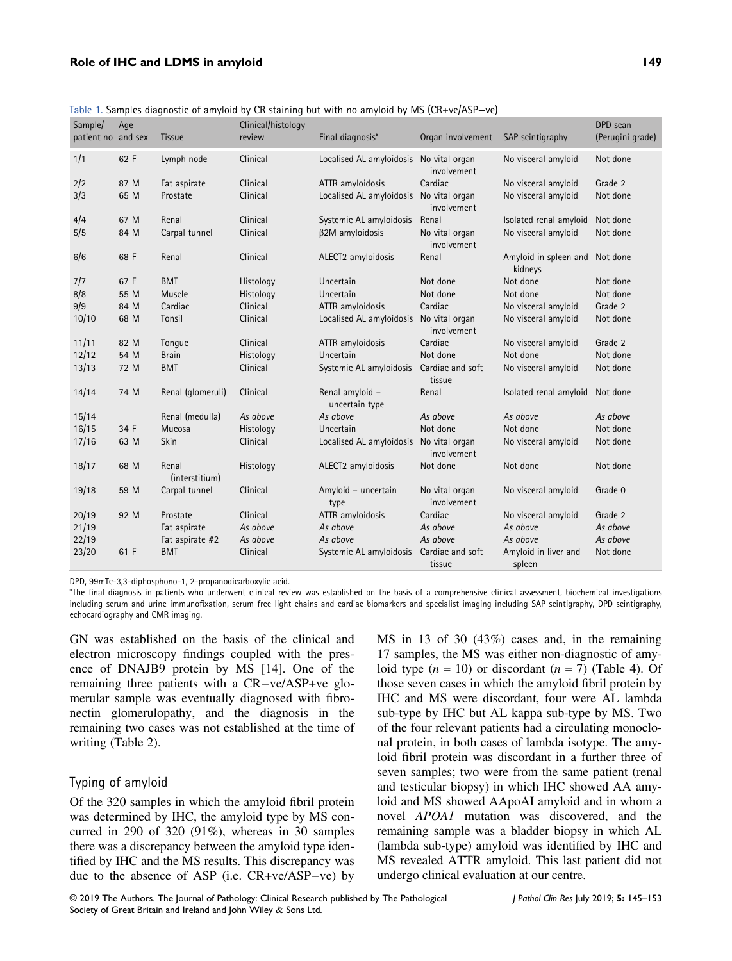#### Role of IHC and LDMS in amyloid 149

| Sample/            | Age  |                         | Clinical/histology | iavic 1. Sampics diagnostic of amyloid by Ch staming out with no amyloid by ivis (Ch+vc/ASr—vc) |                               |                                           | DPD scan         |
|--------------------|------|-------------------------|--------------------|-------------------------------------------------------------------------------------------------|-------------------------------|-------------------------------------------|------------------|
| patient no and sex |      | Tissue                  | review             | Final diagnosis*                                                                                | Organ involvement             | SAP scintigraphy                          | (Perugini grade) |
|                    |      |                         |                    |                                                                                                 |                               |                                           |                  |
| 1/1                | 62 F | Lymph node              | Clinical           | Localised AL amyloidosis No vital organ                                                         | involvement                   | No visceral amyloid                       | Not done         |
| 2/2                | 87 M | Fat aspirate            | Clinical           | ATTR amyloidosis                                                                                | Cardiac                       | No visceral amyloid                       | Grade 2          |
| 3/3                | 65 M | Prostate                | Clinical           | Localised AL amyloidosis No vital organ                                                         | involvement                   | No visceral amyloid                       | Not done         |
| 4/4                | 67 M | Renal                   | Clinical           | Systemic AL amyloidosis                                                                         | Renal                         | Isolated renal amyloid                    | Not done         |
| 5/5                | 84 M | Carpal tunnel           | Clinical           | $\beta$ 2M amyloidosis                                                                          | No vital organ<br>involvement | No visceral amyloid                       | Not done         |
| 6/6                | 68 F | Renal                   | Clinical           | ALECT2 amyloidosis                                                                              | Renal                         | Amyloid in spleen and Not done<br>kidneys |                  |
| 7/7                | 67 F | <b>BMT</b>              | Histology          | Uncertain                                                                                       | Not done                      | Not done                                  | Not done         |
| 8/8                | 55 M | Muscle                  | Histology          | Uncertain                                                                                       | Not done                      | Not done                                  | Not done         |
| 9/9                | 84 M | Cardiac                 | Clinical           | ATTR amyloidosis                                                                                | Cardiac                       | No visceral amyloid                       | Grade 2          |
| 10/10              | 68 M | Tonsil                  | Clinical           | Localised AL amyloidosis No vital organ                                                         | involvement                   | No visceral amyloid                       | Not done         |
| 11/11              | 82 M | Tongue                  | Clinical           | ATTR amyloidosis                                                                                | Cardiac                       | No visceral amyloid                       | Grade 2          |
| 12/12              | 54 M | <b>Brain</b>            | Histology          | Uncertain                                                                                       | Not done                      | Not done                                  | Not done         |
| 13/13              | 72 M | <b>BMT</b>              | Clinical           | Systemic AL amyloidosis                                                                         | Cardiac and soft<br>tissue    | No visceral amyloid                       | Not done         |
| 14/14              | 74 M | Renal (glomeruli)       | Clinical           | Renal amyloid -<br>uncertain type                                                               | Renal                         | Isolated renal amyloid                    | Not done         |
| 15/14              |      | Renal (medulla)         | As above           | As above                                                                                        | As above                      | As above                                  | As above         |
| 16/15              | 34 F | Mucosa                  | Histology          | Uncertain                                                                                       | Not done                      | Not done                                  | Not done         |
| 17/16              | 63 M | Skin                    | Clinical           | Localised AL amyloidosis No vital organ                                                         | involvement                   | No visceral amyloid                       | Not done         |
| 18/17              | 68 M | Renal<br>(interstitium) | Histology          | ALECT2 amyloidosis                                                                              | Not done                      | Not done                                  | Not done         |
| 19/18              | 59 M | Carpal tunnel           | Clinical           | Amyloid - uncertain<br>type                                                                     | No vital organ<br>involvement | No visceral amyloid                       | Grade 0          |
| 20/19              | 92 M | Prostate                | Clinical           | ATTR amyloidosis                                                                                | Cardiac                       | No visceral amyloid                       | Grade 2          |
| 21/19              |      | Fat aspirate            | As above           | As above                                                                                        | As above                      | As above                                  | As above         |
| 22/19              |      | Fat aspirate #2         | As above           | As above                                                                                        | As above                      | As above                                  | As above         |
| 23/20              | 61 F | <b>BMT</b>              | Clinical           | Systemic AL amyloidosis                                                                         | Cardiac and soft<br>tissue    | Amyloid in liver and<br>spleen            | Not done         |

Table 1. Samples diagnostic of amyloid by CR staining but with no amyloid by MS (CR+ve/ASP−ve)

DPD, 99mTc-3,3-diphosphono-1, 2-propanodicarboxylic acid.

\*The final diagnosis in patients who underwent clinical review was established on the basis of a comprehensive clinical assessment, biochemical investigations including serum and urine immunofixation, serum free light chains and cardiac biomarkers and specialist imaging including SAP scintigraphy, DPD scintigraphy, echocardiography and CMR imaging.

GN was established on the basis of the clinical and electron microscopy findings coupled with the presence of DNAJB9 protein by MS [14]. One of the remaining three patients with a CR−ve/ASP+ve glomerular sample was eventually diagnosed with fibronectin glomerulopathy, and the diagnosis in the remaining two cases was not established at the time of writing (Table 2).

## Typing of amyloid

Of the 320 samples in which the amyloid fibril protein was determined by IHC, the amyloid type by MS concurred in 290 of 320 (91%), whereas in 30 samples there was a discrepancy between the amyloid type identified by IHC and the MS results. This discrepancy was due to the absence of ASP (i.e. CR+ve/ASP−ve) by MS in 13 of 30 (43%) cases and, in the remaining 17 samples, the MS was either non-diagnostic of amyloid type  $(n = 10)$  or discordant  $(n = 7)$  (Table 4). Of those seven cases in which the amyloid fibril protein by IHC and MS were discordant, four were AL lambda sub-type by IHC but AL kappa sub-type by MS. Two of the four relevant patients had a circulating monoclonal protein, in both cases of lambda isotype. The amyloid fibril protein was discordant in a further three of seven samples; two were from the same patient (renal and testicular biopsy) in which IHC showed AA amyloid and MS showed AApoAI amyloid and in whom a novel APOA1 mutation was discovered, and the remaining sample was a bladder biopsy in which AL (lambda sub-type) amyloid was identified by IHC and MS revealed ATTR amyloid. This last patient did not undergo clinical evaluation at our centre.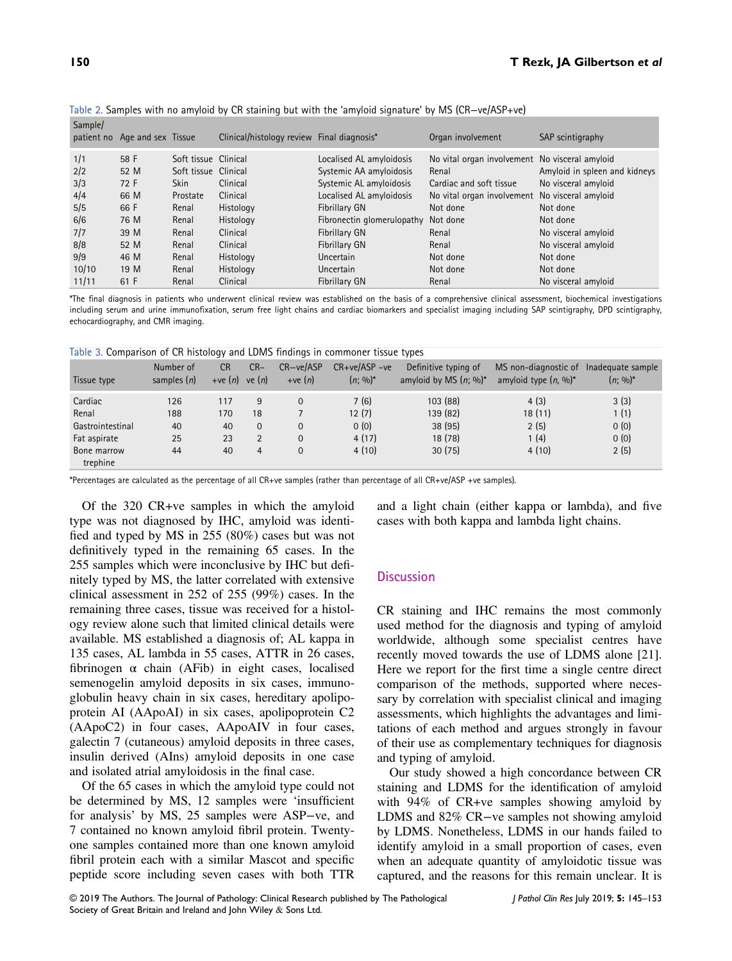| Sample/ | patient no Age and sex Tissue |                      | Clinical/histology review Final diagnosis* |                                     | Organ involvement                              | SAP scintigraphy              |
|---------|-------------------------------|----------------------|--------------------------------------------|-------------------------------------|------------------------------------------------|-------------------------------|
| 1/1     | 58 F                          | Soft tissue Clinical |                                            | Localised AL amyloidosis            | No vital organ involvement No visceral amyloid |                               |
| 2/2     | 52 M                          | Soft tissue Clinical |                                            | Systemic AA amyloidosis             | Renal                                          | Amyloid in spleen and kidneys |
| 3/3     | 72 F                          | <b>Skin</b>          | Clinical                                   | Systemic AL amyloidosis             | Cardiac and soft tissue                        | No visceral amyloid           |
| 4/4     | 66 M                          | Prostate             | Clinical                                   | Localised AL amyloidosis            | No vital organ involvement No visceral amyloid |                               |
| 5/5     | 66 F                          | Renal                | Histology                                  | Fibrillary GN                       | Not done                                       | Not done                      |
| 6/6     | 76 M                          | Renal                | Histology                                  | Fibronectin glomerulopathy Not done |                                                | Not done                      |
| 7/7     | 39 M                          | Renal                | Clinical                                   | Fibrillary GN                       | Renal                                          | No visceral amyloid           |
| 8/8     | 52 M                          | Renal                | Clinical                                   | Fibrillary GN                       | Renal                                          | No visceral amyloid           |
| 9/9     | 46 M                          | Renal                | Histology                                  | Uncertain                           | Not done                                       | Not done                      |
| 10/10   | 19 M                          | Renal                | Histology                                  | Uncertain                           | Not done                                       | Not done                      |
| 11/11   | 61 F                          | Renal                | Clinical                                   | Fibrillary GN                       | Renal                                          | No visceral amyloid           |

Table 2. Samples with no amyloid by CR staining but with the 'amyloid signature' by MS (CR−ve/ASP+ve)

\*The final diagnosis in patients who underwent clinical review was established on the basis of a comprehensive clinical assessment, biochemical investigations including serum and urine immunofixation, serum free light chains and cardiac biomarkers and specialist imaging including SAP scintigraphy, DPD scintigraphy, echocardiography, and CMR imaging.

Table 3. Comparison of CR histology and LDMS findings in commoner tissue types

| Tissue type             | Number of<br>samples $(n)$ | - 1<br><b>CR</b><br>$+ve(n)$ ve $(n)$ | $CR-$        | CR-ve/ASP<br>$+ve(n)$ | $CR+ve/ASP-ve$<br>$(n; \sqrt{90})^*$ | . .<br>Definitive typing of<br>amyloid by MS $(n; \%)^*$ | MS non-diagnostic of Inadequate sample<br>amyloid type $(n, \frac{0}{0})^*$ | $(n; \, \%)^*$ |
|-------------------------|----------------------------|---------------------------------------|--------------|-----------------------|--------------------------------------|----------------------------------------------------------|-----------------------------------------------------------------------------|----------------|
| Cardiac                 | 126                        | 117                                   | 9            | $\Omega$              | 7(6)                                 | 103(88)                                                  | 4(3)                                                                        | 3(3)           |
| Renal                   | 188                        | 170                                   | 18           |                       | 12(7)                                | 139 (82)                                                 | 18 (11)                                                                     | 1(1)           |
| Gastrointestinal        | 40                         | 40                                    | $\mathbf{0}$ | $\Omega$              | 0(0)                                 | 38 (95)                                                  | 2(5)                                                                        | 0(0)           |
| Fat aspirate            | 25                         | 23                                    | 2            | $\Omega$              | 4(17)                                | 18 (78)                                                  | 1(4)                                                                        | 0(0)           |
| Bone marrow<br>trephine | 44                         | 40                                    | 4            | $\mathbf{0}$          | 4(10)                                | 30(75)                                                   | 4(10)                                                                       | 2(5)           |

\*Percentages are calculated as the percentage of all CR+ve samples (rather than percentage of all CR+ve/ASP +ve samples).

Of the 320 CR+ve samples in which the amyloid type was not diagnosed by IHC, amyloid was identified and typed by MS in 255 (80%) cases but was not definitively typed in the remaining 65 cases. In the 255 samples which were inconclusive by IHC but definitely typed by MS, the latter correlated with extensive clinical assessment in 252 of 255 (99%) cases. In the remaining three cases, tissue was received for a histology review alone such that limited clinical details were available. MS established a diagnosis of; AL kappa in 135 cases, AL lambda in 55 cases, ATTR in 26 cases, fibrinogen  $\alpha$  chain (AFib) in eight cases, localised semenogelin amyloid deposits in six cases, immunoglobulin heavy chain in six cases, hereditary apolipoprotein AI (AApoAI) in six cases, apolipoprotein C2 (AApoC2) in four cases, AApoAIV in four cases, galectin 7 (cutaneous) amyloid deposits in three cases, insulin derived (AIns) amyloid deposits in one case and isolated atrial amyloidosis in the final case.

Of the 65 cases in which the amyloid type could not be determined by MS, 12 samples were 'insufficient for analysis' by MS, 25 samples were ASP−ve, and 7 contained no known amyloid fibril protein. Twentyone samples contained more than one known amyloid fibril protein each with a similar Mascot and specific peptide score including seven cases with both TTR

and a light chain (either kappa or lambda), and five cases with both kappa and lambda light chains.

## **Discussion**

CR staining and IHC remains the most commonly used method for the diagnosis and typing of amyloid worldwide, although some specialist centres have recently moved towards the use of LDMS alone [21]. Here we report for the first time a single centre direct comparison of the methods, supported where necessary by correlation with specialist clinical and imaging assessments, which highlights the advantages and limitations of each method and argues strongly in favour of their use as complementary techniques for diagnosis and typing of amyloid.

Our study showed a high concordance between CR staining and LDMS for the identification of amyloid with 94% of CR+ve samples showing amyloid by LDMS and 82% CR−ve samples not showing amyloid by LDMS. Nonetheless, LDMS in our hands failed to identify amyloid in a small proportion of cases, even when an adequate quantity of amyloidotic tissue was captured, and the reasons for this remain unclear. It is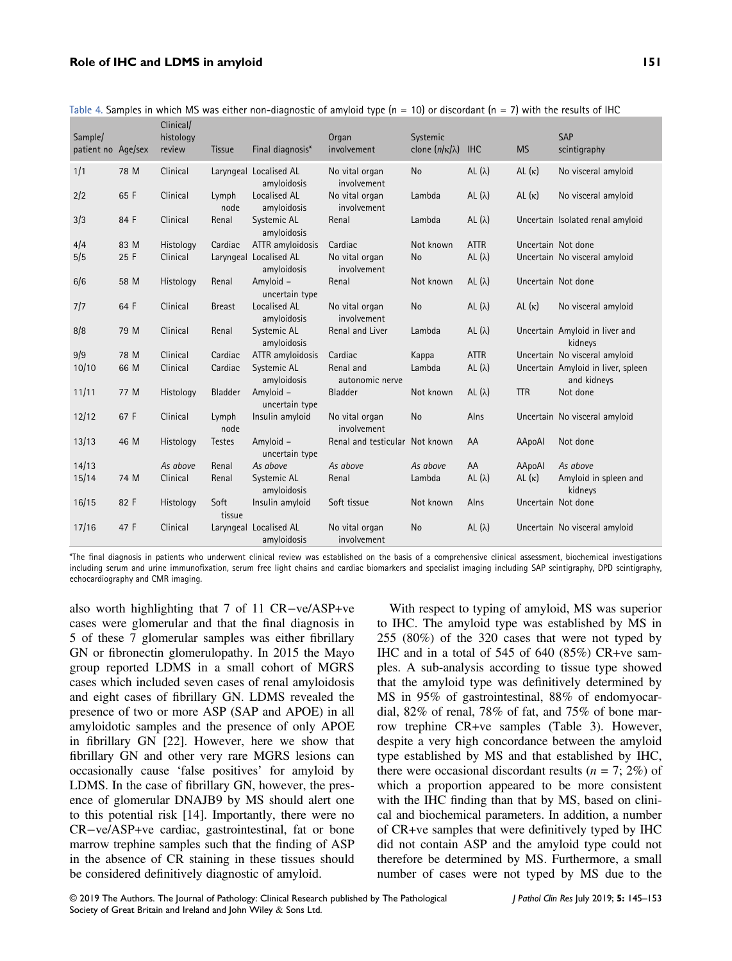#### Role of IHC and LDMS in amyloid 151

| Sample/<br>patient no Age/sex |      | Clinical/<br>histology<br>review | Tissue         | Final diagnosis*                      | Organ<br>involvement           | Systemic<br>clone $(n/\kappa/\lambda)$ | <b>IHC</b>     | <b>MS</b>     | SAP<br>scintigraphy                               |
|-------------------------------|------|----------------------------------|----------------|---------------------------------------|--------------------------------|----------------------------------------|----------------|---------------|---------------------------------------------------|
| 1/1                           | 78 M | Clinical                         |                | Laryngeal Localised AL<br>amyloidosis | No vital organ<br>involvement  | <b>No</b>                              | AL $(\lambda)$ | AL $(\kappa)$ | No visceral amyloid                               |
| 2/2                           | 65 F | Clinical                         | Lymph<br>node  | Localised AL<br>amyloidosis           | No vital organ<br>involvement  | Lambda                                 | AL $(\lambda)$ | AL $(\kappa)$ | No visceral amyloid                               |
| 3/3                           | 84 F | Clinical                         | Renal          | Systemic AL<br>amyloidosis            | Renal                          | Lambda                                 | AL $(\lambda)$ |               | Uncertain Isolated renal amyloid                  |
| 4/4                           | 83 M | Histology                        | Cardiac        | ATTR amyloidosis                      | Cardiac                        | Not known                              | <b>ATTR</b>    |               | Uncertain Not done                                |
| 5/5                           | 25 F | Clinical                         |                | Laryngeal Localised AL<br>amyloidosis | No vital organ<br>involvement  | No                                     | AL $(\lambda)$ |               | Uncertain No visceral amyloid                     |
| 6/6                           | 58 M | Histology                        | Renal          | Amyloid -<br>uncertain type           | Renal                          | Not known                              | AL $(\lambda)$ |               | Uncertain Not done                                |
| 7/7                           | 64 F | Clinical                         | <b>Breast</b>  | Localised AL<br>amyloidosis           | No vital organ<br>involvement  | <b>No</b>                              | AL $(\lambda)$ | AL $(\kappa)$ | No visceral amyloid                               |
| 8/8                           | 79 M | Clinical                         | Renal          | Systemic AL<br>amyloidosis            | Renal and Liver                | Lambda                                 | AL $(\lambda)$ |               | Uncertain Amyloid in liver and<br>kidneys         |
| 9/9                           | 78 M | Clinical                         | Cardiac        | ATTR amyloidosis                      | Cardiac                        | Kappa                                  | <b>ATTR</b>    |               | Uncertain No visceral amyloid                     |
| 10/10                         | 66 M | Clinical                         | Cardiac        | Systemic AL<br>amyloidosis            | Renal and<br>autonomic nerve   | Lambda                                 | AL $(\lambda)$ |               | Uncertain Amyloid in liver, spleen<br>and kidneys |
| 11/11                         | 77 M | Histology                        | Bladder        | Amyloid -<br>uncertain type           | Bladder                        | Not known                              | AL $(\lambda)$ | <b>TTR</b>    | Not done                                          |
| 12/12                         | 67 F | Clinical                         | Lymph<br>node  | Insulin amyloid                       | No vital organ<br>involvement  | <b>No</b>                              | Alns           |               | Uncertain No visceral amyloid                     |
| 13/13                         | 46 M | Histology                        | <b>Testes</b>  | Amyloid -<br>uncertain type           | Renal and testicular Not known |                                        | AA             | AApoAl        | Not done                                          |
| 14/13                         |      | As above                         | Renal          | As above                              | As above                       | As above                               | AA             | AApoAl        | As above                                          |
| 15/14                         | 74 M | Clinical                         | Renal          | Systemic AL<br>amyloidosis            | Renal                          | Lambda                                 | AL $(\lambda)$ | $AL(\kappa)$  | Amyloid in spleen and<br>kidneys                  |
| 16/15                         | 82 F | Histology                        | Soft<br>tissue | Insulin amyloid                       | Soft tissue                    | Not known                              | Alns           |               | Uncertain Not done                                |
| 17/16                         | 47 F | Clinical                         |                | Laryngeal Localised AL<br>amyloidosis | No vital organ<br>involvement  | No                                     | AL $(\lambda)$ |               | Uncertain No visceral amyloid                     |

Table 4. Samples in which MS was either non-diagnostic of amyloid type (n = 10) or discordant (n = 7) with the results of IHC

\*The final diagnosis in patients who underwent clinical review was established on the basis of a comprehensive clinical assessment, biochemical investigations including serum and urine immunofixation, serum free light chains and cardiac biomarkers and specialist imaging including SAP scintigraphy, DPD scintigraphy, echocardiography and CMR imaging.

also worth highlighting that 7 of 11 CR−ve/ASP+ve cases were glomerular and that the final diagnosis in 5 of these 7 glomerular samples was either fibrillary GN or fibronectin glomerulopathy. In 2015 the Mayo group reported LDMS in a small cohort of MGRS cases which included seven cases of renal amyloidosis and eight cases of fibrillary GN. LDMS revealed the presence of two or more ASP (SAP and APOE) in all amyloidotic samples and the presence of only APOE in fibrillary GN [22]. However, here we show that fibrillary GN and other very rare MGRS lesions can occasionally cause 'false positives' for amyloid by LDMS. In the case of fibrillary GN, however, the presence of glomerular DNAJB9 by MS should alert one to this potential risk [14]. Importantly, there were no CR−ve/ASP+ve cardiac, gastrointestinal, fat or bone marrow trephine samples such that the finding of ASP in the absence of CR staining in these tissues should be considered definitively diagnostic of amyloid.

With respect to typing of amyloid, MS was superior to IHC. The amyloid type was established by MS in 255 (80%) of the 320 cases that were not typed by IHC and in a total of 545 of 640 (85%) CR+ve samples. A sub-analysis according to tissue type showed that the amyloid type was definitively determined by MS in 95% of gastrointestinal, 88% of endomyocardial, 82% of renal, 78% of fat, and 75% of bone marrow trephine CR+ve samples (Table 3). However, despite a very high concordance between the amyloid type established by MS and that established by IHC, there were occasional discordant results ( $n = 7$ ; 2%) of which a proportion appeared to be more consistent with the IHC finding than that by MS, based on clinical and biochemical parameters. In addition, a number of CR+ve samples that were definitively typed by IHC did not contain ASP and the amyloid type could not therefore be determined by MS. Furthermore, a small number of cases were not typed by MS due to the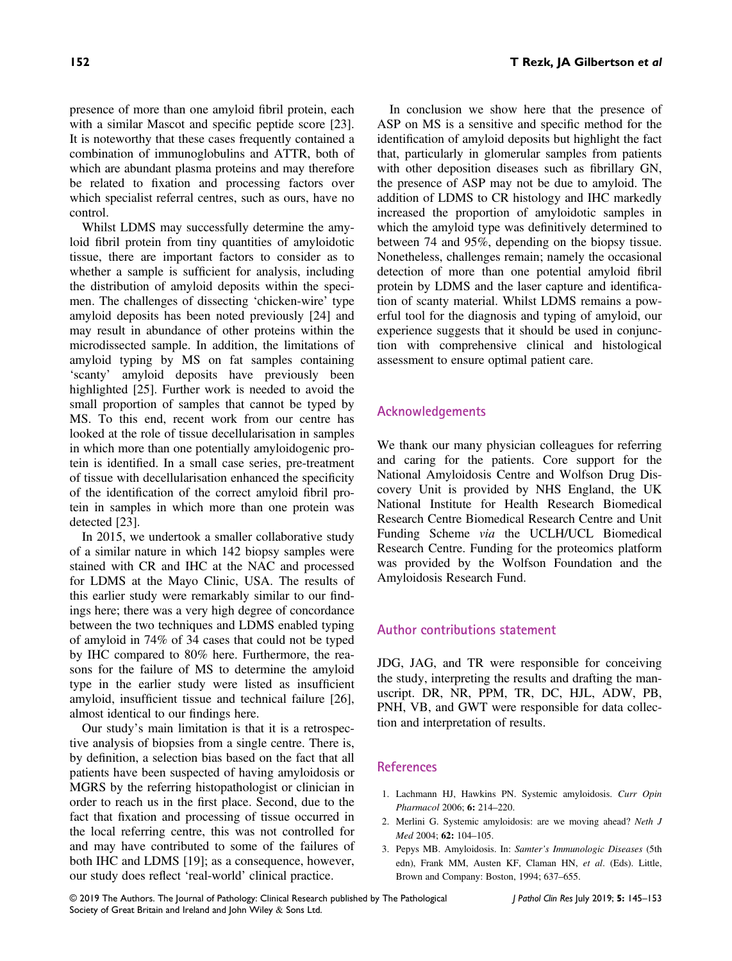presence of more than one amyloid fibril protein, each with a similar Mascot and specific peptide score [23]. It is noteworthy that these cases frequently contained a combination of immunoglobulins and ATTR, both of which are abundant plasma proteins and may therefore

control. Whilst LDMS may successfully determine the amyloid fibril protein from tiny quantities of amyloidotic tissue, there are important factors to consider as to whether a sample is sufficient for analysis, including the distribution of amyloid deposits within the specimen. The challenges of dissecting 'chicken-wire' type amyloid deposits has been noted previously [24] and may result in abundance of other proteins within the microdissected sample. In addition, the limitations of amyloid typing by MS on fat samples containing 'scanty' amyloid deposits have previously been highlighted [25]. Further work is needed to avoid the small proportion of samples that cannot be typed by MS. To this end, recent work from our centre has looked at the role of tissue decellularisation in samples in which more than one potentially amyloidogenic protein is identified. In a small case series, pre-treatment of tissue with decellularisation enhanced the specificity of the identification of the correct amyloid fibril protein in samples in which more than one protein was detected [23].

be related to fixation and processing factors over which specialist referral centres, such as ours, have no

In 2015, we undertook a smaller collaborative study of a similar nature in which 142 biopsy samples were stained with CR and IHC at the NAC and processed for LDMS at the Mayo Clinic, USA. The results of this earlier study were remarkably similar to our findings here; there was a very high degree of concordance between the two techniques and LDMS enabled typing of amyloid in 74% of 34 cases that could not be typed by IHC compared to 80% here. Furthermore, the reasons for the failure of MS to determine the amyloid type in the earlier study were listed as insufficient amyloid, insufficient tissue and technical failure [26], almost identical to our findings here.

Our study's main limitation is that it is a retrospective analysis of biopsies from a single centre. There is, by definition, a selection bias based on the fact that all patients have been suspected of having amyloidosis or MGRS by the referring histopathologist or clinician in order to reach us in the first place. Second, due to the fact that fixation and processing of tissue occurred in the local referring centre, this was not controlled for and may have contributed to some of the failures of both IHC and LDMS [19]; as a consequence, however, our study does reflect 'real-world' clinical practice.

In conclusion we show here that the presence of ASP on MS is a sensitive and specific method for the identification of amyloid deposits but highlight the fact that, particularly in glomerular samples from patients with other deposition diseases such as fibrillary GN, the presence of ASP may not be due to amyloid. The addition of LDMS to CR histology and IHC markedly increased the proportion of amyloidotic samples in which the amyloid type was definitively determined to between 74 and 95%, depending on the biopsy tissue. Nonetheless, challenges remain; namely the occasional detection of more than one potential amyloid fibril protein by LDMS and the laser capture and identification of scanty material. Whilst LDMS remains a powerful tool for the diagnosis and typing of amyloid, our experience suggests that it should be used in conjunction with comprehensive clinical and histological assessment to ensure optimal patient care.

# Acknowledgements

We thank our many physician colleagues for referring and caring for the patients. Core support for the National Amyloidosis Centre and Wolfson Drug Discovery Unit is provided by NHS England, the UK National Institute for Health Research Biomedical Research Centre Biomedical Research Centre and Unit Funding Scheme via the UCLH/UCL Biomedical Research Centre. Funding for the proteomics platform was provided by the Wolfson Foundation and the Amyloidosis Research Fund.

## Author contributions statement

JDG, JAG, and TR were responsible for conceiving the study, interpreting the results and drafting the manuscript. DR, NR, PPM, TR, DC, HJL, ADW, PB, PNH, VB, and GWT were responsible for data collection and interpretation of results.

## References

- 1. Lachmann HJ, Hawkins PN. Systemic amyloidosis. Curr Opin Pharmacol 2006; 6: 214–220.
- 2. Merlini G. Systemic amyloidosis: are we moving ahead? Neth J Med 2004; 62: 104–105.
- 3. Pepys MB. Amyloidosis. In: Samter's Immunologic Diseases (5th edn), Frank MM, Austen KF, Claman HN, et al. (Eds). Little, Brown and Company: Boston, 1994; 637–655.